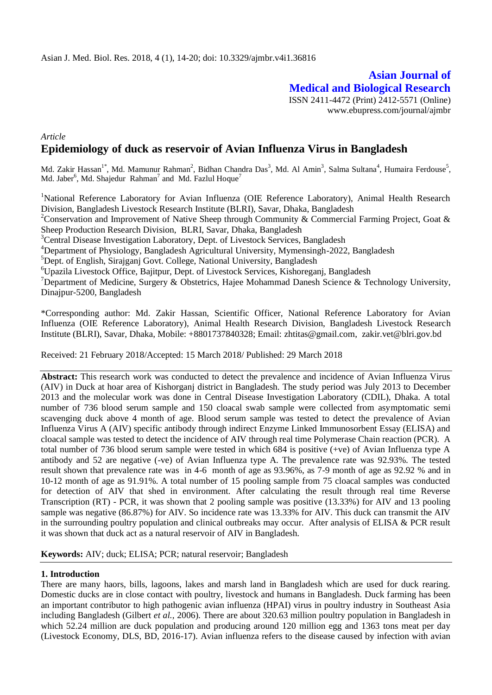**Asian Journal of Medical and Biological Research** ISSN 2411-4472 (Print) 2412-5571 (Online) www.ebupress.com/journal/ajmbr

# *Article* **Epidemiology of duck as reservoir of Avian Influenza Virus in Bangladesh**

Md. Zakir Hassan<sup>1\*</sup>, Md. Mamunur Rahman<sup>2</sup>, Bidhan Chandra Das<sup>3</sup>, Md. Al Amin<sup>3</sup>, Salma Sultana<sup>4</sup>, Humaira Ferdouse<sup>5</sup>, Md. Jaber<sup>6</sup>, Md. Shajedur Rahman<sup>7</sup> and Md. Fazlul Hoque<sup>7</sup>

<sup>1</sup>National Reference Laboratory for Avian Influenza (OIE Reference Laboratory), Animal Health Research Division, Bangladesh Livestock Research Institute (BLRI), Savar, Dhaka, Bangladesh

<sup>2</sup>Conservation and Improvement of Native Sheep through Community & Commercial Farming Project, Goat & Sheep Production Research Division, BLRI, Savar, Dhaka, Bangladesh

<sup>3</sup>Central Disease Investigation Laboratory, Dept. of Livestock Services, Bangladesh

<sup>4</sup>Department of Physiology, Bangladesh Agricultural University, Mymensingh-2022, Bangladesh

<sup>5</sup>Dept. of English, Sirajganj Govt. College, National University, Bangladesh

<sup>6</sup>Upazila Livestock Office, Bajitpur, Dept. of Livestock Services, Kishoreganj, Bangladesh

<sup>7</sup>Department of Medicine, Surgery & Obstetrics, Hajee Mohammad Danesh Science & Technology University, Dinajpur-5200, Bangladesh

\*Corresponding author: Md. Zakir Hassan, Scientific Officer, National Reference Laboratory for Avian Influenza (OIE Reference Laboratory), Animal Health Research Division, Bangladesh Livestock Research Institute (BLRI), Savar, Dhaka, Mobile: +8801737840328; Email: [zhtitas@gmail.com,](mailto:zhtitas@gmail.com) [zakir.vet@blri.gov.bd](mailto:zakir.vet@blri.gov.bd)

Received: 21 February 2018/Accepted: 15 March 2018/ Published: 29 March 2018

**Abstract:** This research work was conducted to detect the prevalence and incidence of Avian Influenza Virus (AIV) in Duck at hoar area of Kishorganj district in Bangladesh. The study period was July 2013 to December 2013 and the molecular work was done in Central Disease Investigation Laboratory (CDIL), Dhaka. A total number of 736 blood serum sample and 150 cloacal swab sample were collected from asymptomatic semi scavenging duck above 4 month of age. Blood serum sample was tested to detect the prevalence of Avian Influenza Virus A (AIV) specific antibody through indirect Enzyme Linked Immunosorbent Essay (ELISA) and cloacal sample was tested to detect the incidence of AIV through real time Polymerase Chain reaction (PCR). A total number of 736 blood serum sample were tested in which 684 is positive (+ve) of Avian Influenza type A antibody and 52 are negative (-ve) of Avian Influenza type A. The prevalence rate was 92.93%. The tested result shown that prevalence rate was in 4-6 month of age as 93.96%, as 7-9 month of age as 92.92 % and in 10-12 month of age as 91.91%. A total number of 15 pooling sample from 75 cloacal samples was conducted for detection of AIV that shed in environment. After calculating the result through real time Reverse Transcription (RT) - PCR, it was shown that 2 pooling sample was positive (13.33%) for AIV and 13 pooling sample was negative (86.87%) for AIV. So incidence rate was 13.33% for AIV. This duck can transmit the AIV in the surrounding poultry population and clinical outbreaks may occur. After analysis of ELISA & PCR result it was shown that duck act as a natural reservoir of AIV in Bangladesh.

**Keywords:** AIV; duck; ELISA; PCR; natural reservoir; Bangladesh

# **1. Introduction**

There are many haors, bills, lagoons, lakes and marsh land in Bangladesh which are used for duck rearing. Domestic ducks are in close contact with poultry, livestock and humans in Bangladesh. Duck farming has been an important contributor to high pathogenic avian influenza (HPAI) virus in poultry industry in Southeast Asia including Bangladesh (Gilbert *et al.,* 2006). There are about 320.63 million poultry population in Bangladesh in which 52.24 million are duck population and producing around 120 million egg and 1363 tons meat per day (Livestock Economy, DLS, BD, 2016-17). Avian influenza refers to the disease caused by infection with avian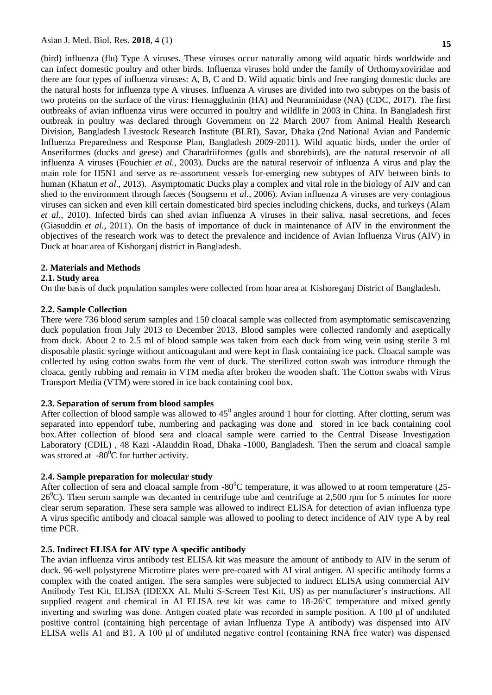(bird) influenza (flu) Type A viruses. These viruses occur naturally among wild aquatic birds worldwide and can infect domestic poultry and other birds. Influenza viruses hold under the family of Orthomyxoviridae and there are four types of influenza viruses: [A, B, C and D.](https://www.cdc.gov/flu/about/viruses/types.htm) Wild aquatic birds and free ranging domestic ducks are the natural hosts for influenza type A viruses. Influenza A viruses are divided into two subtypes on the basis of two proteins on the surface of the virus: [Hemagglutinin \(HA\) and Neuraminidase \(NA\)](http://www.cdc.gov/flu/images/virus/fluvirus-antigentic-characterization-large.jpg) (CDC, 2017). The first outbreaks of avian influenza virus were occurred in poultry and wildlife in 2003 in China. In Bangladesh first outbreak in poultry was declared through Government on 22 March 2007 from Animal Health Research Division, Bangladesh Livestock Research Institute (BLRI), Savar, Dhaka (2nd National Avian and Pandemic Influenza Preparedness and Response Plan, Bangladesh 2009-2011). Wild aquatic birds, under the order of Anseriformes (ducks and geese) and Charadriiformes (gulls and shorebirds), are the natural reservoir of all influenza A viruses (Fouchier *et al.,* 2003). Ducks are the natural reservoir of influenza A virus and play the main role for H5N1 and serve as re-assortment vessels for-emerging new subtypes of AIV between birds to human (Khatun *et al*., 2013). Asymptomatic Ducks play a complex and vital role in the biology of AIV and can shed to the environment through faeces (Songserm *et al.,* 2006). Avian influenza A viruses are very contagious viruses can sicken and even kill certain domesticated bird species including chickens, ducks, and turkeys (Alam *et al.,* 2010). Infected birds can shed avian influenza A viruses in their saliva, nasal secretions, and feces (Giasuddin *et al.,* 2011). On the basis of importance of duck in maintenance of AIV in the environment the objectives of the research work was to detect the prevalence and incidence of Avian Influenza Virus (AIV) in Duck at hoar area of Kishorganj district in Bangladesh.

### **2. Materials and Methods**

### **2.1. Study area**

On the basis of duck population samples were collected from hoar area at Kishoreganj District of Bangladesh.

#### **2.2. Sample Collection**

There were 736 blood serum samples and 150 cloacal sample was collected from asymptomatic semiscavenzing duck population from July 2013 to December 2013. Blood samples were collected randomly and aseptically from duck. About 2 to 2.5 ml of blood sample was taken from each duck from wing vein using sterile 3 ml disposable plastic syringe without anticoagulant and were kept in flask containing ice pack. Cloacal sample was collected by using cotton swabs form the vent of duck. The sterilized cotton swab was introduce through the cloaca, gently rubbing and remain in VTM media after broken the wooden shaft. The Cotton swabs with Virus Transport Media (VTM) were stored in ice back containing cool box.

#### **2.3. Separation of serum from blood samples**

After collection of blood sample was allowed to  $45^{\circ}$  angles around 1 hour for clotting. After clotting, serum was separated into eppendorf tube, numbering and packaging was done and stored in ice back containing cool box.After collection of blood sera and cloacal sample were carried to the Central Disease Investigation Laboratory (CDIL) , 48 Kazi -Alauddin Road, Dhaka -1000, Bangladesh. Then the serum and cloacal sample was strored at  $-80^{\circ}$ C for further activity.

# **2.4. Sample preparation for molecular study**

After collection of sera and cloacal sample from  $-80^{\circ}$ C temperature, it was allowed to at room temperature (25- $26^0$ C). Then serum sample was decanted in centrifuge tube and centrifuge at 2,500 rpm for 5 minutes for more clear serum separation. These sera sample was allowed to indirect ELISA for detection of avian influenza type A virus specific antibody and cloacal sample was allowed to pooling to detect incidence of AIV type A by real time PCR.

# **2.5. Indirect ELISA for AIV type A specific antibody**

The avian influenza virus antibody test ELISA kit was measure the amount of antibody to AIV in the serum of duck. 96-well polystyrene Microtitre plates were pre-coated with AI viral antigen. Al specific antibody forms a complex with the coated antigen. The sera samples were subjected to indirect ELISA using commercial AIV Antibody Test Kit, ELISA (IDEXX AL Multi S-Screen Test Kit, US) as per manufacturer's instructions. All supplied reagent and chemical in AI ELISA test kit was came to  $18{\text -}26^{\circ}$ C temperature and mixed gently inverting and swirling was done. Antigen coated plate was recorded in sample position. A 100 μl of undiluted positive control (containing high percentage of avian Influenza Type A antibody) was dispensed into AIV ELISA wells A1 and B1. A 100 μl of undiluted negative control (containing RNA free water) was dispensed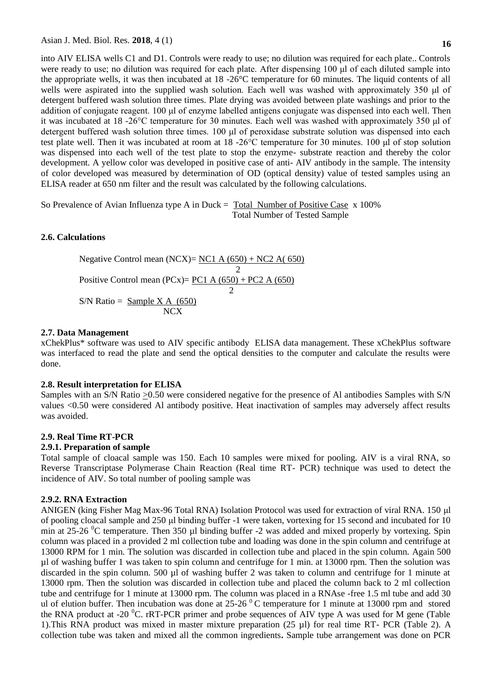into AIV ELISA wells C1 and D1. Controls were ready to use; no dilution was required for each plate.. Controls were ready to use; no dilution was required for each plate. After dispensing 100 μl of each diluted sample into the appropriate wells, it was then incubated at 18 -26°C temperature for 60 minutes. The liquid contents of all wells were aspirated into the supplied wash solution. Each well was washed with approximately 350 μl of detergent buffered wash solution three times. Plate drying was avoided between plate washings and prior to the addition of conjugate reagent. 100 μl of enzyme labelled antigens conjugate was dispensed into each well. Then it was incubated at 18 -26°C temperature for 30 minutes. Each well was washed with approximately 350 μl of detergent buffered wash solution three times. 100 μl of peroxidase substrate solution was dispensed into each test plate well. Then it was incubated at room at 18 -26°C temperature for 30 minutes. 100 μl of stop solution was dispensed into each well of the test plate to stop the enzyme- substrate reaction and thereby the color development. A yellow color was developed in positive case of anti- AIV antibody in the sample. The intensity of color developed was measured by determination of OD (optical density) value of tested samples using an ELISA reader at 650 nm filter and the result was calculated by the following calculations.

So Prevalence of Avian Influenza type A in Duck = Total Number of Positive Case x 100% Total Number of Tested Sample

### **2.6. Calculations**

Negative Control mean (NCX)=  $NCI A (650) + NC2 A (650)$  2 Positive Control mean  $(PCx) = PCA A (650) + PCA A (650)$  2 S/N Ratio =  $\text{Sample } X \land (650)$ NCX<sub>NCX</sub>

#### **2.7. Data Management**

xChekPlus\* software was used to AIV specific antibody ELISA data management. These xChekPlus software was interfaced to read the plate and send the optical densities to the computer and calculate the results were done.

#### **2.8. Result interpretation for ELISA**

Samples with an S/N Ratio >0.50 were considered negative for the presence of Al antibodies Samples with S/N values <0.50 were considered Al antibody positive. Heat inactivation of samples may adversely affect results was avoided.

# **2.9. Real Time RT-PCR**

# **2.9.1. Preparation of sample**

Total sample of cloacal sample was 150. Each 10 samples were mixed for pooling. AIV is a viral RNA, so Reverse Transcriptase Polymerase Chain Reaction (Real time RT- PCR) technique was used to detect the incidence of AIV. So total number of pooling sample was

# **2.9.2. RNA Extraction**

ANIGEN (king Fisher Mag Max-96 Total RNA) Isolation Protocol was used for extraction of viral RNA. 150 μl of pooling cloacal sample and 250 μl binding buffer -1 were taken, vortexing for 15 second and incubated for 10 min at 25-26  $\rm{^0C}$  temperature. Then 350 µl binding buffer -2 was added and mixed properly by vortexing. Spin column was placed in a provided 2 ml collection tube and loading was done in the spin column and centrifuge at 13000 RPM for 1 min. The solution was discarded in collection tube and placed in the spin column. Again 500 µl of washing buffer 1 was taken to spin column and centrifuge for 1 min. at 13000 rpm. Then the solution was discarded in the spin column. 500 µl of washing buffer 2 was taken to column and centrifuge for 1 minute at 13000 rpm. Then the solution was discarded in collection tube and placed the column back to 2 ml collection tube and centrifuge for 1 minute at 13000 rpm. The column was placed in a RNAse -free 1.5 ml tube and add 30 ul of elution buffer. Then incubation was done at  $25{\text -}26^\circ$ C temperature for 1 minute at 13000 rpm and stored the RNA product at -20  $^{0}$ C. rRT-PCR primer and probe sequences of AIV type A was used for M gene (Table 1).This RNA product was mixed in master mixture preparation (25 µl) for real time RT- PCR (Table 2). A collection tube was taken and mixed all the common ingredients**.** Sample tube arrangement was done on PCR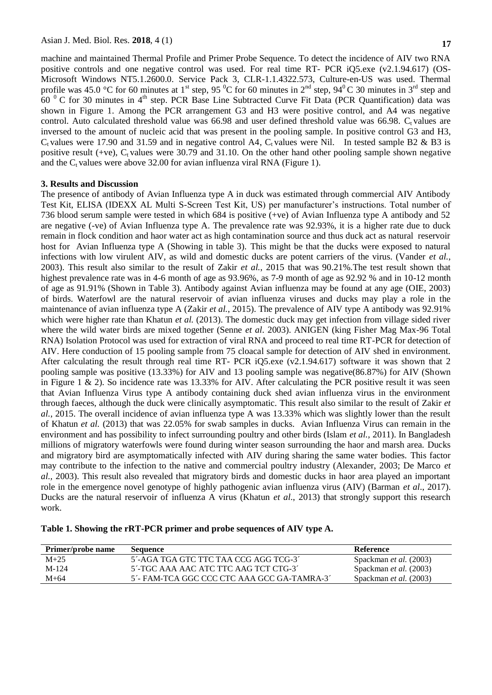**17**

machine and maintained Thermal Profile and Primer Probe Sequence. To detect the incidence of AIV two RNA positive controls and one negative control was used. For real time RT- PCR iQ5.exe (v2.1.94.617) (OS-Microsoft Windows NT5.1.2600.0. Service Pack 3, CLR-1.1.4322.573, Culture-en-US was used. Thermal profile was 45.0 °C for 60 minutes at 1<sup>st</sup> step, 95 °C for 60 minutes in  $2^{nd}$  step, 94 °C 30 minutes in 3<sup>rd</sup> step and  $60<sup>0</sup>$  C for 30 minutes in 4<sup>th</sup> step. PCR Base Line Subtracted Curve Fit Data (PCR Quantification) data was shown in Figure 1. Among the PCR arrangement G3 and H3 were positive control, and A4 was negative control. Auto calculated threshold value was 66.98 and user defined threshold value was 66.98. C<sub>t</sub> values are inversed to the amount of nucleic acid that was present in the pooling sample. In positive control G3 and H3,  $C<sub>t</sub>$  values were 17.90 and 31.59 and in negative control A4,  $C<sub>t</sub>$  values were Nil. In tested sample B2 & B3 is positive result (+ve),  $C_t$  values were 30.79 and 31.10. On the other hand other pooling sample shown negative and the  $C_t$  values were above 32.00 for avian influenza viral RNA (Figure 1).

# **3. Results and Discussion**

The presence of antibody of Avian Influenza type A in duck was estimated through commercial AIV Antibody Test Kit, ELISA (IDEXX AL Multi S-Screen Test Kit, US) per manufacturer's instructions. Total number of 736 blood serum sample were tested in which 684 is positive (+ve) of Avian Influenza type A antibody and 52 are negative (-ve) of Avian Influenza type A. The prevalence rate was 92.93%, it is a higher rate due to duck remain in flock condition and haor water act as high contamination source and thus duck act as natural reservoir host for Avian Influenza type A (Showing in table 3). This might be that the ducks were exposed to natural infections with low virulent AIV, as wild and domestic ducks are potent carriers of the virus. (Vander *et al.*, 2003). This result also similar to the result of Zakir *et al.*, 2015 that was 90.21%.The test result shown that highest prevalence rate was in 4-6 month of age as 93.96%, as 7-9 month of age as 92.92 % and in 10-12 month of age as 91.91% (Shown in Table 3). Antibody against Avian influenza may be found at any age (OIE, 2003) of birds. Waterfowl are the natural reservoir of avian influenza viruses and ducks may play a role in the maintenance of avian influenza type A (Zakir *et al.*, 2015). The prevalence of AIV type A antibody was 92.91% which were higher rate than Khatun et al. (2013). The domestic duck may get infection from village sided river where the wild water birds are mixed together (Senne *et al*. 2003). ANIGEN (king Fisher Mag Max-96 Total RNA) Isolation Protocol was used for extraction of viral RNA and proceed to real time RT-PCR for detection of AIV. Here conduction of 15 pooling sample from 75 cloacal sample for detection of AIV shed in environment. After calculating the result through real time RT- PCR iQ5.exe (v2.1.94.617) software it was shown that 2 pooling sample was positive (13.33%) for AIV and 13 pooling sample was negative(86.87%) for AIV (Shown in Figure 1  $\&$  2). So incidence rate was 13.33% for AIV. After calculating the PCR positive result it was seen that Avian Influenza Virus type A antibody containing duck shed avian influenza virus in the environment through faeces, although the duck were clinically asymptomatic. This result also similar to the result of Zakir *et al.*, 2015. The overall incidence of avian influenza type A was 13.33% which was slightly lower than the result of Khatun *et al.* (2013) that was 22.05% for swab samples in ducks. Avian Influenza Virus can remain in the environment and has possibility to infect surrounding poultry and other birds (Islam *et al.,* 2011). In Bangladesh millions of migratory waterfowls were found during winter season surrounding the haor and marsh area. Ducks and migratory bird are asymptomatically infected with AIV during sharing the same water bodies. This factor may contribute to the infection to the native and commercial poultry industry (Alexander, 2003; De Marco *et al.,* 2003). This result also revealed that migratory birds and domestic ducks in haor area played an important role in the emergence novel genotype of highly pathogenic avian influenza virus (AIV) (Barman *et al*., 2017). Ducks are the natural reservoir of influenza A virus (Khatun *et al*., 2013) that strongly support this research work.

| Table 1. Showing the rRT-PCR primer and probe sequences of AIV type A. |
|------------------------------------------------------------------------|
|------------------------------------------------------------------------|

| Primer/probe name | Sequence                                    | Reference                     |
|-------------------|---------------------------------------------|-------------------------------|
| $M+25$            | 5'-AGA TGA GTC TTC TAA CCG AGG TCG-3'       | Spackman et al. (2003)        |
| $M-124$           | 5'-TGC AAA AAC ATC TTC AAG TCT CTG-3'       | Spackman <i>et al.</i> (2003) |
| $M+64$            | 5'- FAM-TCA GGC CCC CTC AAA GCC GA-TAMRA-3' | Spackman <i>et al.</i> (2003) |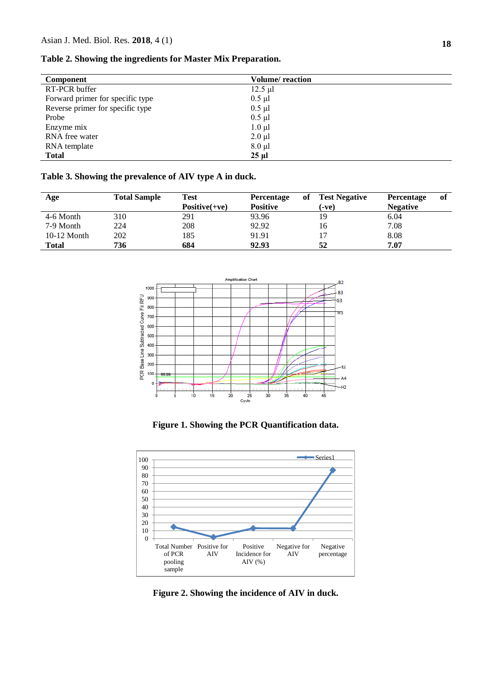# **Table 2. Showing the ingredients for Master Mix Preparation.**

| <b>Volume</b> reaction |
|------------------------|
| $12.5 \mu l$           |
| $0.5 \mu l$            |
| $0.5 \mu l$            |
| $0.5 \mu l$            |
| $1.0 \mu l$            |
| $2.0 \mu l$            |
| $8.0 \mu l$            |
| $25 \mu$               |
|                        |

# **Table 3. Showing the prevalence of AIV type A in duck.**

| Age           | <b>Total Sample</b> | <b>Test</b>     | <b>Percentage</b> | оf | <b>Test Negative</b> | <b>Percentage</b> | of |
|---------------|---------------------|-----------------|-------------------|----|----------------------|-------------------|----|
|               |                     | $Positive(+ve)$ | <b>Positive</b>   |    | (-ve)                | <b>Negative</b>   |    |
| 4-6 Month     | 310                 | 291             | 93.96             |    | 19                   | 6.04              |    |
| 7-9 Month     | 224                 | 208             | 92.92             |    | 16                   | 7.08              |    |
| $10-12$ Month | 202                 | 185             | 91.91             |    |                      | 8.08              |    |
| <b>Total</b>  | 736                 | 684             | 92.93             |    | 52                   | 7.07              |    |



**Figure 1. Showing the PCR Quantification data.**



**Figure 2. Showing the incidence of AIV in duck.**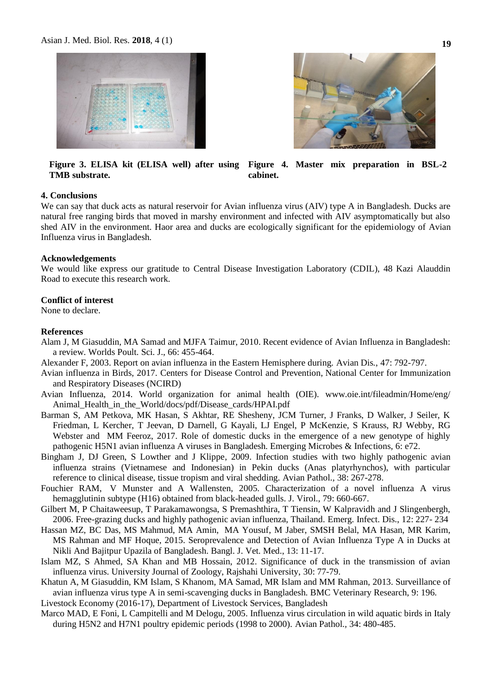



**Figure 3. ELISA kit (ELISA well) after using TMB substrate. Figure 4. Master mix preparation in BSL-2 cabinet.**

### **4. Conclusions**

We can say that duck acts as natural reservoir for Avian influenza virus (AIV) type A in Bangladesh. Ducks are natural free ranging birds that moved in marshy environment and infected with AIV asymptomatically but also shed AIV in the environment. Haor area and ducks are ecologically significant for the epidemiology of Avian Influenza virus in Bangladesh.

#### **Acknowledgements**

We would like express our gratitude to Central Disease Investigation Laboratory (CDIL), 48 Kazi Alauddin Road to execute this research work.

#### **Conflict of interest**

None to declare.

#### **References**

- Alam J, M Giasuddin, MA Samad and MJFA Taimur, 2010. Recent evidence of Avian Influenza in Bangladesh: a review. Worlds Poult. Sci. J., 66: 455-464.
- Alexander F, 2003. Report on avian influenza in the Eastern Hemisphere during. Avian Dis*.*, 47: 792-797.
- Avian influenza in Birds, 2017. [Centers for Disease Control and Prevention,](http://www.cdc.gov/) [National Center for Immunization](http://www.cdc.gov/ncird/index.html)  [and Respiratory Diseases \(NCIRD\)](http://www.cdc.gov/ncird/index.html)
- Avian Influenza, 2014. World organization for animal health (OIE). www.oie.int/fileadmin/Home/eng/ Animal Health in the World/docs/pdf/Disease cards/HPAI.pdf
- Barman S, AM Petkova, MK Hasan, S Akhtar, RE Shesheny, JCM Turner, J Franks, D Walker, J Seiler, K Friedman, L Kercher, T Jeevan, D Darnell, G Kayali, LJ Engel, P McKenzie, S Krauss, RJ Webby, RG Webster and MM Feeroz, 2017. Role of domestic ducks in the emergence of a new genotype of highly pathogenic H5N1 avian influenza A viruses in Bangladesh. Emerging Microbes & Infections, 6: e72.
- Bingham J, DJ Green, S Lowther and J Klippe, 2009. Infection studies with two highly pathogenic avian influenza strains (Vietnamese and Indonesian) in Pekin ducks (Anas platyrhynchos), with particular reference to clinical disease, tissue tropism and viral shedding. Avian Pathol.*,* 38: 267-278.
- Fouchier RAM, V [Munster](https://scholar.google.com/citations?user=IajQB5MAAAAJ&hl=en&oi=sra) and A Wallensten, 2005. Characterization of a novel influenza A virus hemagglutinin subtype (H16) obtained from black-headed gulls. J. Virol., 79: 660-667.
- Gilbert M, P Chaitaweesup, T Parakamawongsa, S Premashthira, T Tiensin, W Kalpravidh and J Slingenbergh, 2006. Free-grazing ducks and highly pathogenic avian influenza, Thailand. Emerg. Infect. Dis., 12: 227- 234
- Hassan MZ, BC Das, MS Mahmud, MA Amin, MA Yousuf, M Jaber, SMSH Belal, MA Hasan, MR Karim, MS Rahman and MF Hoque, 2015. Seroprevalence and Detection of Avian Influenza Type A in Ducks at Nikli And Bajitpur Upazila of Bangladesh. Bangl. J. Vet. Med., 13: 11-17.
- Islam MZ, S Ahmed, SA Khan and MB Hossain, 2012. Significance of duck in the transmission of avian influenza virus. University Journal of Zoology, Rajshahi University, 30: 77-79.
- Khatun A, M Giasuddin, KM Islam, S Khanom, MA Samad, MR Islam and MM Rahman, 2013. Surveillance of avian influenza virus type A in semi-scavenging ducks in Bangladesh. BMC Veterinary Research, 9: 196.

Livestock Economy (2016-17), Department of Livestock Services, Bangladesh

Marco MAD, E Foni, L Campitelli and M Delogu*,* 2005. Influenza virus circulation in wild aquatic birds in Italy during H5N2 and H7N1 poultry epidemic periods (1998 to 2000). Avian Pathol.*,* 34: 480-485.